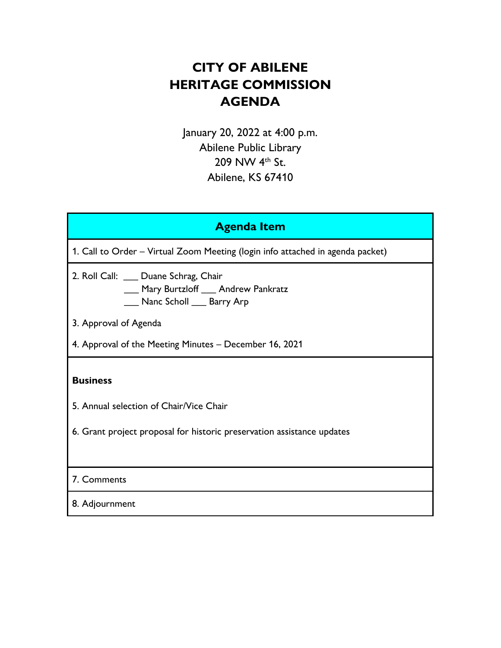# **CITY OF ABILENE HERITAGE COMMISSION AGENDA**

January 20, 2022 at 4:00 p.m. Abilene Public Library 209 NW 4<sup>th</sup> St. Abilene, KS 67410

| <b>Agenda Item</b>                                                                                                                   |
|--------------------------------------------------------------------------------------------------------------------------------------|
| 1. Call to Order – Virtual Zoom Meeting (login info attached in agenda packet)                                                       |
| 2. Roll Call: ___ Duane Schrag, Chair<br>___ Mary Burtzloff ___ Andrew Pankratz<br>___ Nanc Scholl ___ Barry Arp                     |
| 3. Approval of Agenda                                                                                                                |
| 4. Approval of the Meeting Minutes - December 16, 2021                                                                               |
| <b>Business</b><br>5. Annual selection of Chair/Vice Chair<br>6. Grant project proposal for historic preservation assistance updates |
| 7. Comments                                                                                                                          |
| 8. Adjournment                                                                                                                       |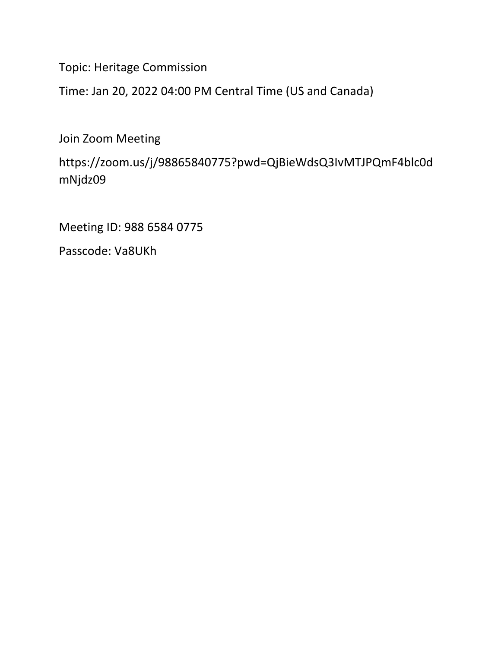Topic: Heritage Commission

Time: Jan 20, 2022 04:00 PM Central Time (US and Canada)

Join Zoom Meeting

https://zoom.us/j/98865840775?pwd=QjBieWdsQ3IvMTJPQmF4blc0d mNjdz09

Meeting ID: 988 6584 0775

Passcode: Va8UKh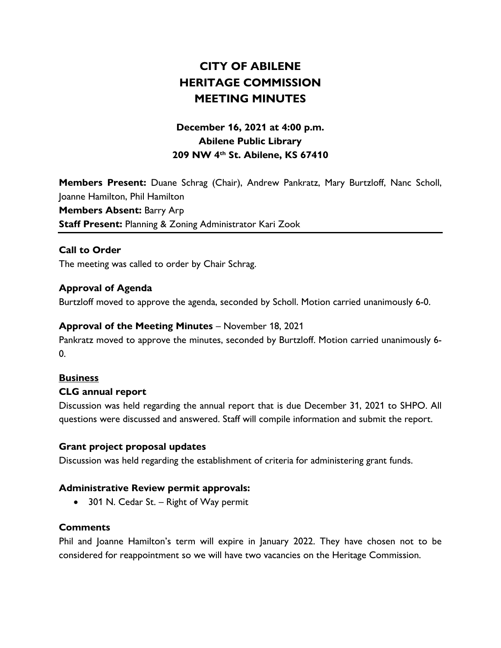## **CITY OF ABILENE HERITAGE COMMISSION MEETING MINUTES**

## **December 16, 2021 at 4:00 p.m. Abilene Public Library 209 NW 4th St. Abilene, KS 67410**

**Members Present:** Duane Schrag (Chair), Andrew Pankratz, Mary Burtzloff, Nanc Scholl, Joanne Hamilton, Phil Hamilton **Members Absent:** Barry Arp **Staff Present:** Planning & Zoning Administrator Kari Zook

#### **Call to Order**

The meeting was called to order by Chair Schrag.

#### **Approval of Agenda**

Burtzloff moved to approve the agenda, seconded by Scholl. Motion carried unanimously 6-0.

#### **Approval of the Meeting Minutes** – November 18, 2021

Pankratz moved to approve the minutes, seconded by Burtzloff. Motion carried unanimously 6-  $\mathbf{0}$ .

#### **Business**

#### **CLG annual report**

Discussion was held regarding the annual report that is due December 31, 2021 to SHPO. All questions were discussed and answered. Staff will compile information and submit the report.

#### **Grant project proposal updates**

Discussion was held regarding the establishment of criteria for administering grant funds.

#### **Administrative Review permit approvals:**

• 301 N. Cedar St. – Right of Way permit

#### **Comments**

Phil and Joanne Hamilton's term will expire in January 2022. They have chosen not to be considered for reappointment so we will have two vacancies on the Heritage Commission.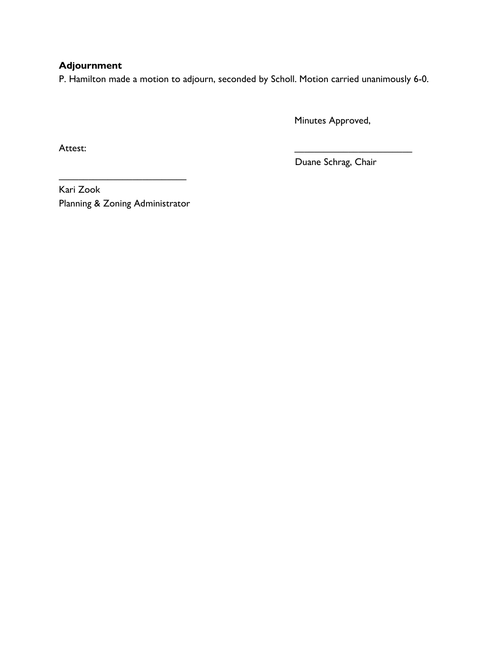### **Adjournment**

P. Hamilton made a motion to adjourn, seconded by Scholl. Motion carried unanimously 6-0.

Minutes Approved,

Attest: \_\_\_\_\_\_\_\_\_\_\_\_\_\_\_\_\_\_\_\_\_\_\_\_

Duane Schrag, Chair

Kari Zook Planning & Zoning Administrator

\_\_\_\_\_\_\_\_\_\_\_\_\_\_\_\_\_\_\_\_\_\_\_\_\_\_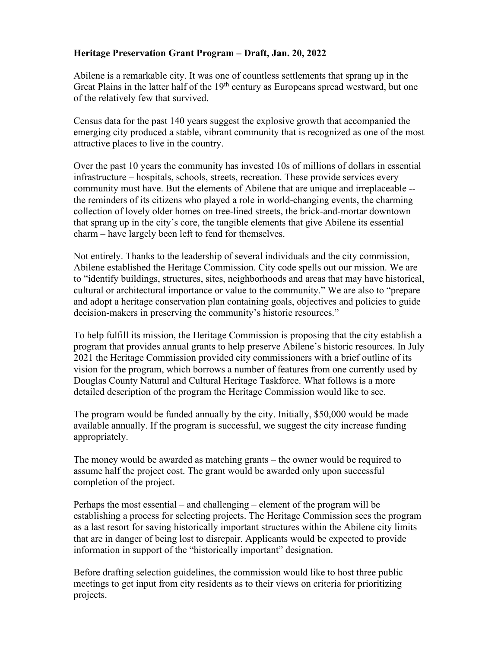#### **Heritage Preservation Grant Program – Draft, Jan. 20, 2022**

Abilene is a remarkable city. It was one of countless settlements that sprang up in the Great Plains in the latter half of the 19<sup>th</sup> century as Europeans spread westward, but one of the relatively few that survived.

Census data for the past 140 years suggest the explosive growth that accompanied the emerging city produced a stable, vibrant community that is recognized as one of the most attractive places to live in the country.

Over the past 10 years the community has invested 10s of millions of dollars in essential infrastructure – hospitals, schools, streets, recreation. These provide services every community must have. But the elements of Abilene that are unique and irreplaceable - the reminders of its citizens who played a role in world-changing events, the charming collection of lovely older homes on tree-lined streets, the brick-and-mortar downtown that sprang up in the city's core, the tangible elements that give Abilene its essential charm – have largely been left to fend for themselves.

Not entirely. Thanks to the leadership of several individuals and the city commission, Abilene established the Heritage Commission. City code spells out our mission. We are to "identify buildings, structures, sites, neighborhoods and areas that may have historical, cultural or architectural importance or value to the community." We are also to "prepare and adopt a heritage conservation plan containing goals, objectives and policies to guide decision-makers in preserving the community's historic resources."

To help fulfill its mission, the Heritage Commission is proposing that the city establish a program that provides annual grants to help preserve Abilene's historic resources. In July 2021 the Heritage Commission provided city commissioners with a brief outline of its vision for the program, which borrows a number of features from one currently used by Douglas County Natural and Cultural Heritage Taskforce. What follows is a more detailed description of the program the Heritage Commission would like to see.

The program would be funded annually by the city. Initially, \$50,000 would be made available annually. If the program is successful, we suggest the city increase funding appropriately.

The money would be awarded as matching grants – the owner would be required to assume half the project cost. The grant would be awarded only upon successful completion of the project.

Perhaps the most essential – and challenging – element of the program will be establishing a process for selecting projects. The Heritage Commission sees the program as a last resort for saving historically important structures within the Abilene city limits that are in danger of being lost to disrepair. Applicants would be expected to provide information in support of the "historically important" designation.

Before drafting selection guidelines, the commission would like to host three public meetings to get input from city residents as to their views on criteria for prioritizing projects.